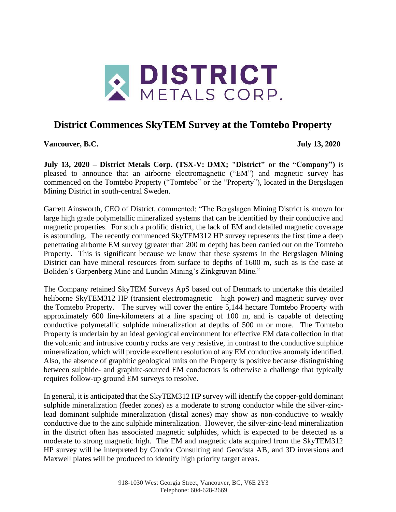

# **District Commences SkyTEM Survey at the Tomtebo Property**

**Vancouver, B.C. July 13, 2020**

**July 13, 2020 – District Metals Corp. (TSX-V: DMX; "District" or the "Company")** is pleased to announce that an airborne electromagnetic ("EM") and magnetic survey has commenced on the Tomtebo Property ("Tomtebo" or the "Property"), located in the Bergslagen Mining District in south-central Sweden.

Garrett Ainsworth, CEO of District, commented: "The Bergslagen Mining District is known for large high grade polymetallic mineralized systems that can be identified by their conductive and magnetic properties. For such a prolific district, the lack of EM and detailed magnetic coverage is astounding. The recently commenced SkyTEM312 HP survey represents the first time a deep penetrating airborne EM survey (greater than 200 m depth) has been carried out on the Tomtebo Property. This is significant because we know that these systems in the Bergslagen Mining District can have mineral resources from surface to depths of 1600 m, such as is the case at Boliden's Garpenberg Mine and Lundin Mining's Zinkgruvan Mine."

The Company retained SkyTEM Surveys ApS based out of Denmark to undertake this detailed heliborne SkyTEM312 HP (transient electromagnetic – high power) and magnetic survey over the Tomtebo Property. The survey will cover the entire 5,144 hectare Tomtebo Property with approximately 600 line-kilometers at a line spacing of 100 m, and is capable of detecting conductive polymetallic sulphide mineralization at depths of 500 m or more. The Tomtebo Property is underlain by an ideal geological environment for effective EM data collection in that the volcanic and intrusive country rocks are very resistive, in contrast to the conductive sulphide mineralization, which will provide excellent resolution of any EM conductive anomaly identified. Also, the absence of graphitic geological units on the Property is positive because distinguishing between sulphide- and graphite-sourced EM conductors is otherwise a challenge that typically requires follow-up ground EM surveys to resolve.

In general, it is anticipated that the SkyTEM312 HP survey will identify the copper-gold dominant sulphide mineralization (feeder zones) as a moderate to strong conductor while the silver-zinclead dominant sulphide mineralization (distal zones) may show as non-conductive to weakly conductive due to the zinc sulphide mineralization. However, the silver-zinc-lead mineralization in the district often has associated magnetic sulphides, which is expected to be detected as a moderate to strong magnetic high. The EM and magnetic data acquired from the SkyTEM312 HP survey will be interpreted by Condor Consulting and Geovista AB, and 3D inversions and Maxwell plates will be produced to identify high priority target areas.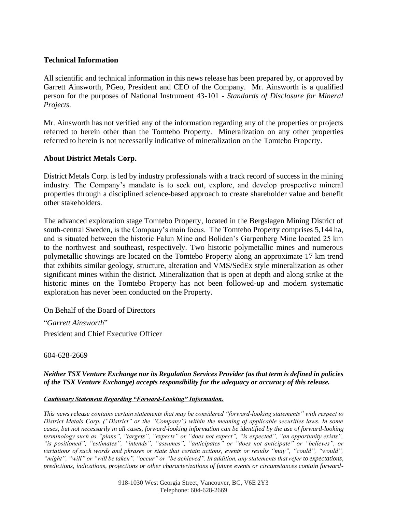### **Technical Information**

All scientific and technical information in this news release has been prepared by, or approved by Garrett Ainsworth, PGeo, President and CEO of the Company. Mr. Ainsworth is a qualified person for the purposes of National Instrument 43-101 - *Standards of Disclosure for Mineral Projects.*

Mr. Ainsworth has not verified any of the information regarding any of the properties or projects referred to herein other than the Tomtebo Property. Mineralization on any other properties referred to herein is not necessarily indicative of mineralization on the Tomtebo Property.

## **About District Metals Corp.**

District Metals Corp. is led by industry professionals with a track record of success in the mining industry. The Company's mandate is to seek out, explore, and develop prospective mineral properties through a disciplined science-based approach to create shareholder value and benefit other stakeholders.

The advanced exploration stage Tomtebo Property, located in the Bergslagen Mining District of south-central Sweden, is the Company's main focus. The Tomtebo Property comprises 5,144 ha, and is situated between the historic Falun Mine and Boliden's Garpenberg Mine located 25 km to the northwest and southeast, respectively. Two historic polymetallic mines and numerous polymetallic showings are located on the Tomtebo Property along an approximate 17 km trend that exhibits similar geology, structure, alteration and VMS/SedEx style mineralization as other significant mines within the district. Mineralization that is open at depth and along strike at the historic mines on the Tomtebo Property has not been followed-up and modern systematic exploration has never been conducted on the Property.

On Behalf of the Board of Directors

"*Garrett Ainsworth*" President and Chief Executive Officer

604-628-2669

#### *Neither TSX Venture Exchange nor its Regulation Services Provider (as that term is defined in policies of the TSX Venture Exchange) accepts responsibility for the adequacy or accuracy of this release.*

#### *Cautionary Statement Regarding "Forward-Looking" Information.*

*This news release contains certain statements that may be considered "forward-looking statements" with respect to District Metals Corp. ("District" or the "Company") within the meaning of applicable securities laws. In some cases, but not necessarily in all cases, forward-looking information can be identified by the use of forward-looking terminology such as "plans", "targets", "expects" or "does not expect", "is expected", "an opportunity exists", "is positioned", "estimates", "intends", "assumes", "anticipates" or "does not anticipate" or "believes", or variations of such words and phrases or state that certain actions, events or results "may", "could", "would",*  "might", "will" or "will be taken", "occur" or "be achieved". In addition, any statements that refer to expectations, *predictions, indications, projections or other characterizations of future events or circumstances contain forward-*